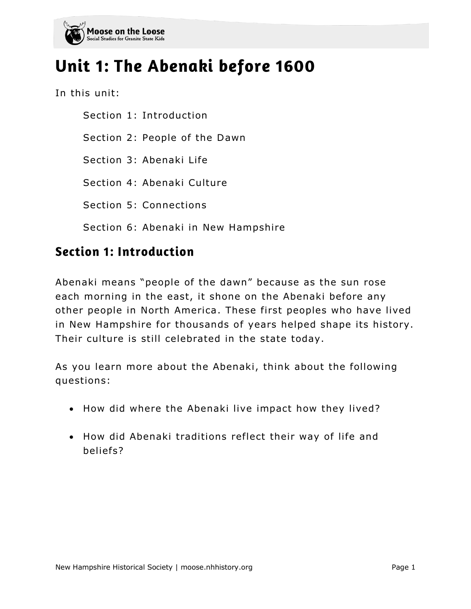

# Unit 1: The Abenaki before 1600

In this unit:

Section 1: Introduction Section 2: People of the Dawn Section 3: Abenaki Life Section 4: Abenaki Culture Section 5: Connections Section 6: Abenaki in New Hampshire

### **Section 1: Introduction**

Abenaki means "people of the dawn" because as the sun rose each morning in the east, it shone on the Abenaki before any other people in North America . These first peoples who have lived in New Hampshire for thousands of years helped shape its history. Their culture is still celebrated in the state today.

As you learn more about the Abenaki, think about the following questions:

- How did where the Abenaki live impact how they lived?
- How did Abenaki traditions reflect their way of life and beliefs?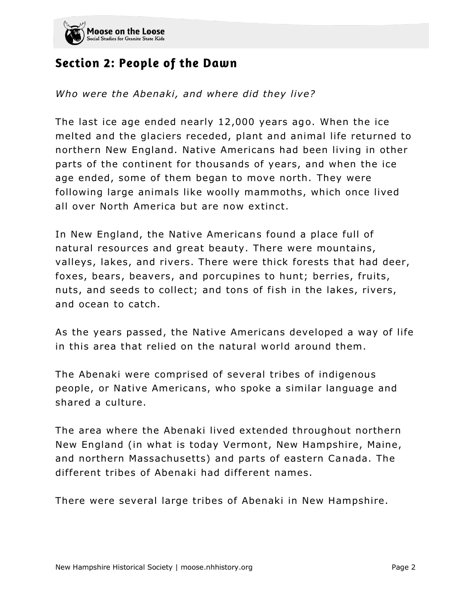

### **Section 2: People of the Dawn**

*Who were the Abenaki, and where did they live?*

The last ice age ended nearly 12,000 years ago. When the ice melted and the glaciers receded, plant and animal life returned to northern New England. Native Americans had been living in other parts of the continent for thousands of years, and when the ice age ended, some of them began to move north. They were following large animals like woolly mammoths, which once lived all over North America but are now extinct.

In New England, the Native Americans found a place full of natural resources and great beauty. There were mountains, valleys, lakes, and rivers. There were thick forests that had deer, foxes, bears, beavers, and porcupines to hunt; berries, fruits, nuts, and seeds to collect; and tons of fish in the lakes, rivers, and ocean to catch.

As the years passed , the Native Americans developed a way of life in this area that relied on the natural world around them.

The Abenaki were comprised of several tribes of indigenous people, or Native Americans, who spoke a similar language and shared a culture.

The area where the Abenaki lived extended throughout northern New England (in what is today Vermont, New Hampshire, Maine, and northern Massachusetts) and parts of eastern Canada. The different tribes of Abenaki had different names.

There were several large tribes of Abenaki in New Hampshire.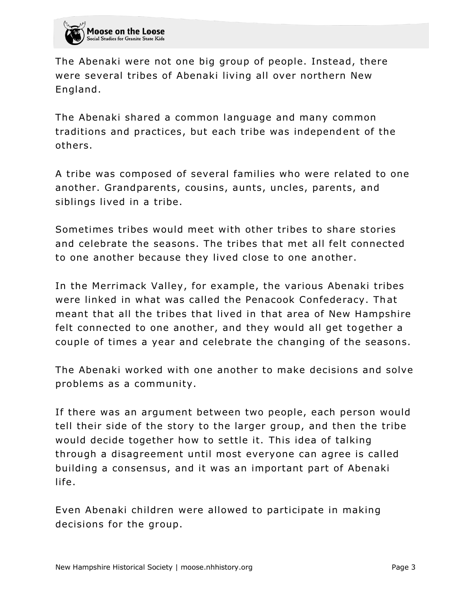

The Abenaki were not one big group of people. Instead, there were several tribes of Abenaki living all over northern New England.

The Abenaki shared a common language and many common traditions and practices, but each tribe was independent of the others.

A tribe was composed of several families who were related to one another. Grandparents, cousins, aunts, uncles, parents, and siblings lived in a tribe.

Sometimes tribes would meet with other tribes to share stories and celebrate the seasons. The tribes that met all felt connected to one another because they lived close to one another .

In the Merrimack Valley, for example, the various Abenaki tribes were linked in what was called the Penacook Confederacy. That meant that all the tribes that lived in that area of New Hampshire felt connected to one another, and they would all get together a couple of times a year and celebrate the changing of the seasons.

The Abenaki worked with one another to make decisions and solve problems as a community.

If there was an argument between two people, each person would tell their side of the story to the larger group, and then the tribe would decide together how to settle it. This idea of talking through a disagreement until most everyone can agree is called building a consensus, and it was an important part of Abenaki life.

Even Abenaki children were allowed to participate in making decisions for the group.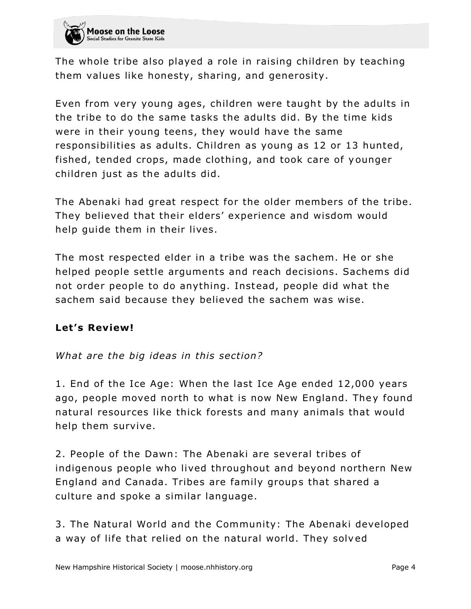

The whole tribe also played a role in raising children by teaching them values like honesty, sharing, and generosity.

Even from very young ages, children were taught by the adults in the tribe to do the same tasks the adults did. By the time kids were in their young teens, they would have the same responsibilities as adults. Children as young as 12 or 13 hunted, fished, tended crops, made clothing, and took care of y ounger children just as the adults did.

The Abenaki had great respect for the older members of the tribe. They believed that their elders' experience and wisdom would help guide them in their lives.

The most respected elder in a tribe was the sachem. He or she helped people settle arguments and reach decisions. Sachems did not order people to do anything. Instead, people did what the sachem said because they believed the sachem was wise.

#### Let's Review!

#### *What are the big ideas in this section?*

1. End of the Ice Age: When the last Ice Age ended 12,000 years ago, people moved north to what is now New England. They found natural resources like thick forests and many animals that would help them survive.

2. People of the Dawn: The Abenaki are several tribes of indigenous people who lived throughout and beyond northern New England and Canada. Tribes are family groups that shared a culture and spoke a similar language.

3. The Natural World and the Community: The Abenaki developed a way of life that relied on the natural world. They solved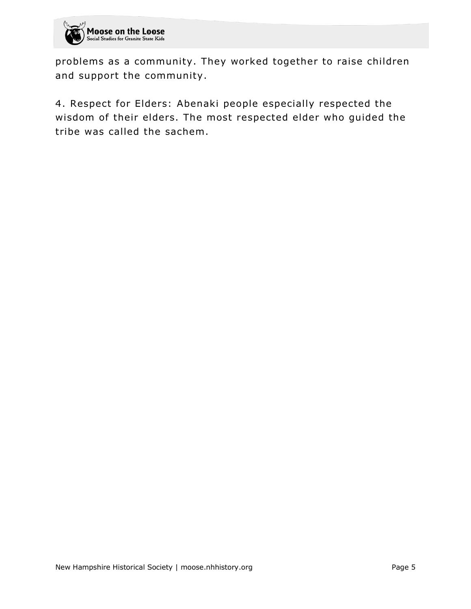

problems as a community. They worked together to raise children and support the community.

4. Respect for Elders: Abenaki people especially respected the wisdom of their elders. The most respected elder who guided the tribe was called the sachem.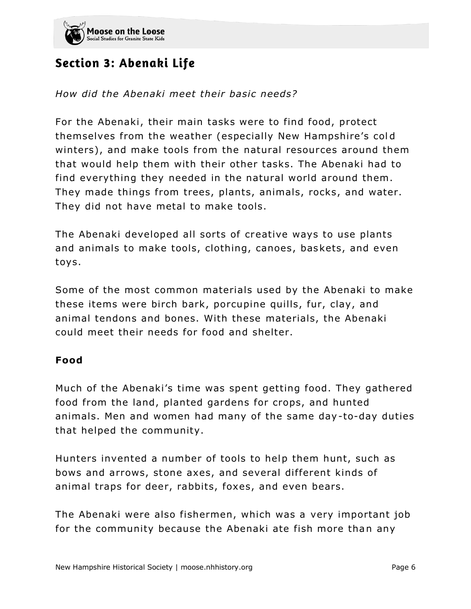

# Section 3: Abenaki Life

#### *How did the Abenaki meet their basic needs?*

For the Abenaki, their main tasks were to find food, protect themselves from the weather (especially New Hampshire's col d winters), and make tools from the natural resources around them that would help them with their other tasks. The Abenaki had to find everything they needed in the natural world around them. They made things from trees, plants, animals, rocks, and water. They did not have metal to make tools.

The Abenaki developed all sorts of creative ways to use plants and animals to make tools, clothing, canoes , baskets, and even toys.

Some of the most common materials used by the Abenaki to make these items were birch bark, porcupine quills, fur, clay, and animal tendons and bones. With these materials, the Abenaki could meet their needs for food and shelter.

#### **Food**

Much of the Abenaki's time was spent getting food. They gathered food from the land, planted gardens for crops, and hunted animals. Men and women had many of the same day-to-day duties that helped the community.

Hunters invented a number of tools to help them hunt, such as bows and arrows, stone axes, and several different kinds of animal traps for deer, rabbits, foxes, and even bears.

The Abenaki were also fishermen, which was a very important job for the community because the Abenaki ate fish more than any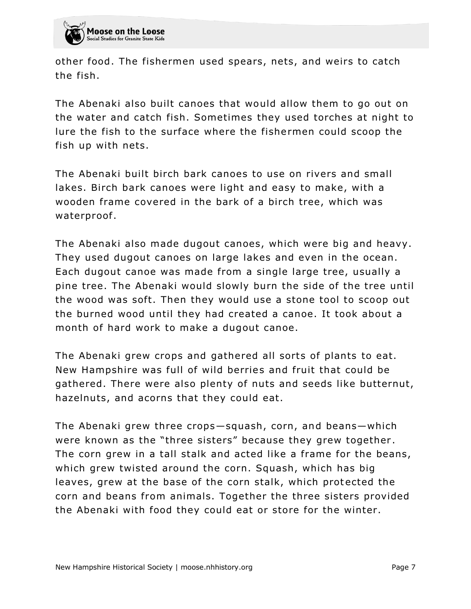

other food. The fishermen used spears, nets, and weirs to catch the fish.

The Abenaki also built canoes that would allow them to go out on the water and catch fish. Sometimes they used torches at night to lure the fish to the surface where the fishermen could scoop the fish up with nets.

The Abenaki built birch bark canoes to use on rivers and small lakes. Birch bark canoes were light and easy to make, with a wooden frame covered in the bark of a birch tree, which was waterproof.

The Abenaki also made dugout canoes, which were big and heavy. They used dugout canoes on large lakes and even in the ocean. Each dugout canoe was made from a single large tree, usually a pine tree. The Abenaki would slowly burn the side of the tree until the wood was soft. Then they would use a stone tool to scoop out the burned wood until they had created a canoe. It took about a month of hard work to make a dugout canoe.

The Abenaki grew crops and gathered all sorts of plants to eat. New Hampshire was full of wild berries and fruit that could be gathered. There were also plenty of nuts and seeds like butternut, hazelnuts, and acorns that they could eat.

The Abenaki grew three crops—squash, corn, and beans—which were known as the "three sisters" because they grew together . The corn grew in a tall stalk and acted like a frame for the beans, which grew twisted around the corn. Squash, which has big leaves, grew at the base of the corn stalk, which protected the corn and beans from animals. Together the three sisters provided the Abenaki with food they could eat or store for the winter.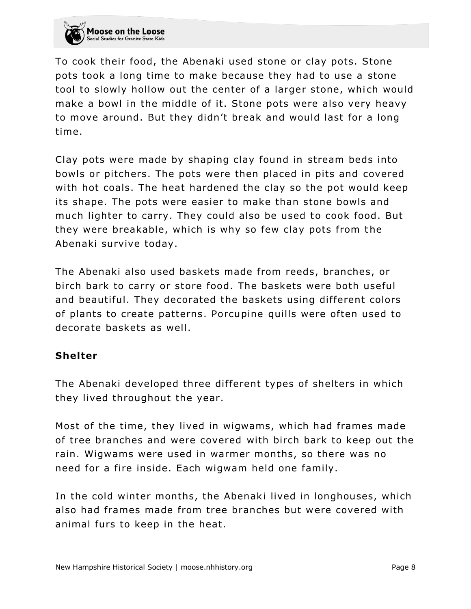

To cook their food, the Abenaki used stone or clay pots. Stone pots took a long time to make because they had to use a stone tool to slowly hollow out the center of a larger stone, which would make a bowl in the middle of it. Stone pots were also very heavy to move around. But they didn't break and would last for a long time.

Clay pots were made by shaping clay found in stream beds into bowls or pitchers. The pots were then placed in pits and covered with hot coals. The heat hardened the clay so the pot would keep its shape. The pots were easier to make than stone bowls and much lighter to carry. They could also be used to cook food. But they were breakable, which is why so few clay pots from the Abenaki survive today.

The Abenaki also used baskets made from reeds, branches, or birch bark to carry or store food. The baskets were both useful and beautiful. They decorated the baskets using different colors of plants to create patterns. Porcupine quills were often used to decorate baskets as well.

#### **Shelter**

The Abenaki developed three different types of shelters in which they lived throughout the year.

Most of the time, they lived in wigwams, which had frames made of tree branches and were covered with birch bark to keep out the rain. Wigwams were used in warmer months, so there was no need for a fire inside. Each wigwam held one family.

In the cold winter months, the Abenaki lived in longhouses, which also had frames made from tree branches but were covered with animal furs to keep in the heat.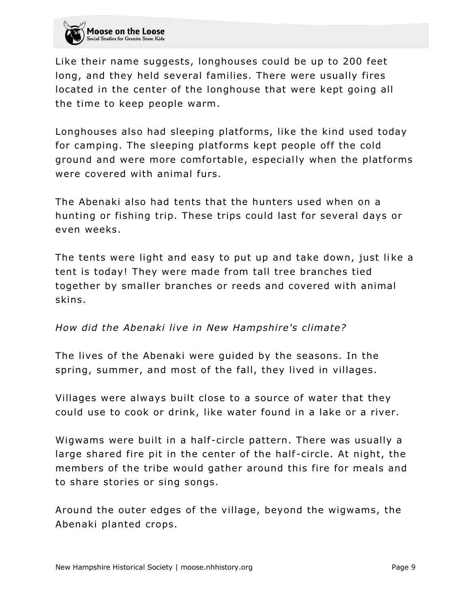

Like their name suggests, longhouses could be up to 200 feet long, and they held several families. There were usually fires located in the center of the longhouse that were kept going all the time to keep people warm.

Longhouses also had sleeping platforms, like the kind used today for camping. The sleeping platforms kept people off the cold ground and were more comfortable, especially when the platforms were covered with animal furs.

The Abenaki also had tents that the hunters used when on a hunting or fishing trip. These trips could last for several days or even weeks.

The tents were light and easy to put up and take down, just like a tent is today! They were made from tall tree branches tied together by smaller branches or reeds and covered with animal skins.

#### *How did the Abenaki live in New Hampshire's climate?*

The lives of the Abenaki were guided by the seasons. In the spring, summer, and most of the fall, they lived in villages.

Villages were always built close to a source of water that they could use to cook or drink, like water found in a lake or a river.

Wigwams were built in a half-circle pattern. There was usually a large shared fire pit in the center of the half -circle. At night, the members of the tribe would gather around this fire for meals and to share stories or sing songs.

Around the outer edges of the village, beyond the wigwams, the Abenaki planted crops.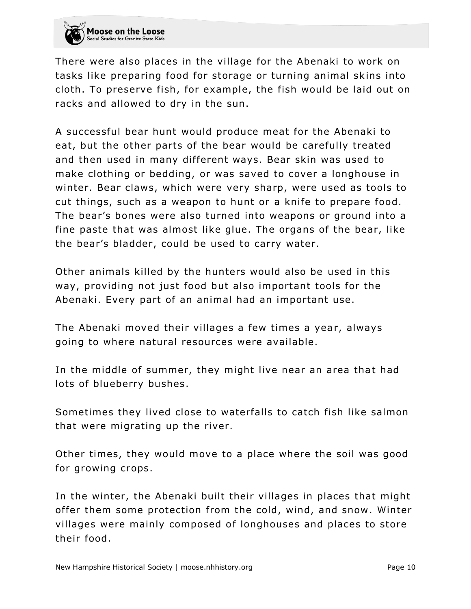

There were also places in the village for the Abenaki to work on tasks like preparing food for storage or turning animal skins into cloth. To preserve fish, for example, the fish would be laid out on racks and allowed to dry in the sun.

A successful bear hunt would produce meat for the Abenaki to eat, but the other parts of the bear would be carefully treated and then used in many different ways. Bear skin was used to make clothing or bedding, or was saved to cover a longhouse in winter. Bear claws, which were very sharp, were used as tools to cut things, such as a weapon to hunt or a knife to prepare food. The bear's bones were also turned into weapons or ground into a fine paste that was almost like glue. The organs of the bear, like the bear's bladder, could be used to carry water.

Other animals killed by the hunters would also be used in this way, providing not just food but also important tools for the Abenaki. Every part of an animal had an important use.

The Abenaki moved their villages a few times a year, always going to where natural resources were available.

In the middle of summer, they might live near an area that had lots of blueberry bushes .

Sometimes they lived close to waterfalls to catch fish like salmon that were migrating up the river.

Other times, they would move to a place where the soil was good for growing crops .

In the winter, the Abenaki built their villages in places that might offer them some protection from the cold, wind, and snow . Winter villages were mainly composed of longhouses and places to store their food.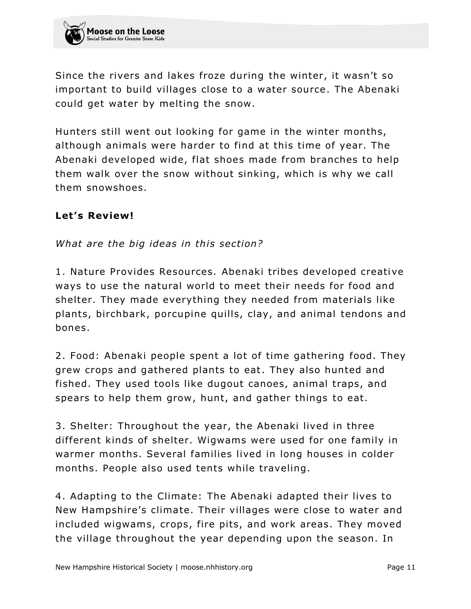Since the rivers and lakes froze during the winter, it wasn't so important to build villages close to a water source. The Abenaki could get water by melting the snow.

Hunters still went out looking for game in the winter months, although animals were harder to find at this time of year. The Abenaki developed wide, flat shoes made from branches to help them walk over the snow without sinking, which is why we call them snowshoes.

#### Let's Review!

*What are the big ideas in this section?*

1. Nature Provides Resources. Abenaki tribes developed creative ways to use the natural world to meet their needs for food and shelter. They made everything they needed from materials like plants, birchbark, porcupine quills, clay, and animal tendons and bones.

2. Food: Abenaki people spent a lot of time gathering food. They grew crops and gathered plants to eat. They also hunted and fished. They used tools like dugout canoes, animal traps, and spears to help them grow, hunt, and gather things to eat.

3. Shelter: Throughout the year, the Abenaki lived in three different kinds of shelter. Wigwams were used for one family in warmer months. Several families lived in long houses in colder months. People also used tents while traveling.

4. Adapting to the Climate: The Abenaki adapted their lives to New Hampshire's climate. Their villages were close to water and included wigwams, crops, fire pits, and work areas. They moved the village throughout the year depending upon the season. In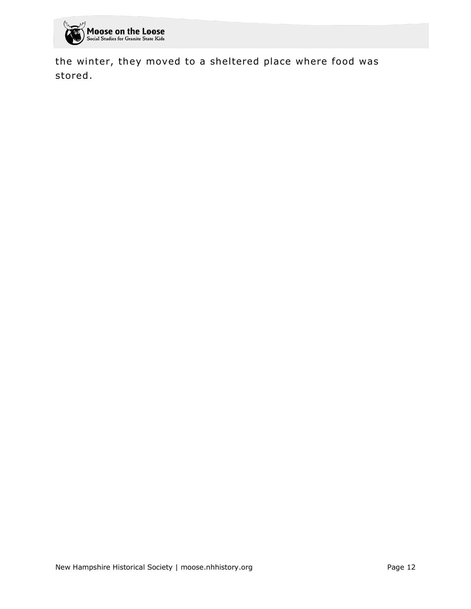

the winter, they moved to a sheltered place where food was stored .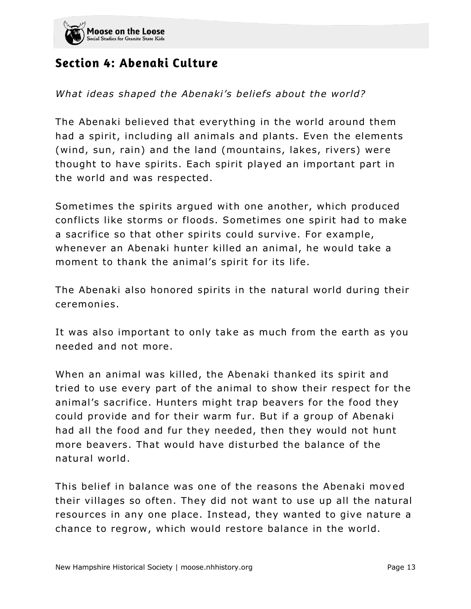

# Section 4: Abenaki Culture

*What ideas shaped the Abenaki's beliefs about the world?*

The Abenaki believed that everything in the world around them had a spirit, including all animals and plants. Even the elements (wind, sun, rain) and the land (mountains, lakes, rivers) were thought to have spirits. Each spirit played an important part in the world and was respected.

Sometimes the spirits argued with one another, which produced conflicts like storms or floods. Sometimes one spirit had to make a sacrifice so that other spirits could survive. For example, whenever an Abenaki hunter killed an animal, he would take a moment to thank the animal's spirit for its life.

The Abenaki also honored spirits in the natural world during their ceremonies.

It was also important to only take as much from the earth as you needed and not more.

When an animal was killed, the Abenaki thanked its spirit and tried to use every part of the animal to show their respect for the animal's sacrifice. Hunters might trap beavers for the food they could provide and for their warm fur. But if a group of Abenaki had all the food and fur they needed, then they would not hunt more beavers. That would have disturbed the balance of the natural world .

This belief in balance was one of the reasons the Abenaki moved their villages so often. They did not want to use up all the natural resources in any one place. Instead, they wanted to give nature a chance to regrow, which would restore balance in the world.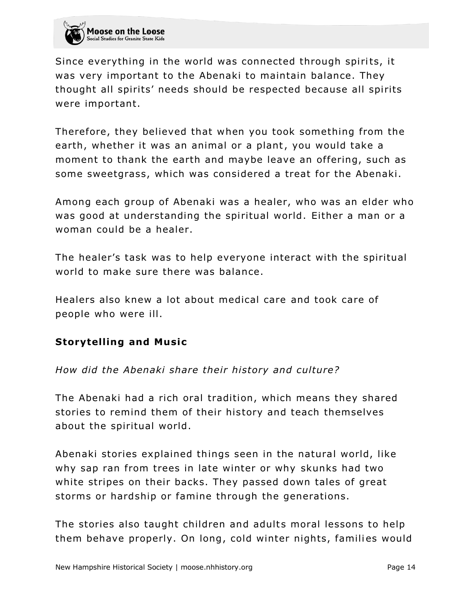

Since everything in the world was connected through spirits, it was very important to the Abenaki to maintain balance. They thought all spirits' needs should be respected because all spirits were important.

Therefore, they believed that when you took something from the earth, whether it was an animal or a plant, you would take a moment to thank the earth and maybe leave an offering, such as some sweetgrass, which was considered a treat for the Abenaki.

Among each group of Abenaki was a healer, who was an elder who was good at understanding the spiritual world. Either a man or a woman could be a healer.

The healer's task was to help everyone interact with the spiritual world to make sure there was balance.

Healers also knew a lot about medical care and took care of people who were ill.

#### **Storytelling and Music**

#### *How did the Abenaki share their history and culture?*

The Abenaki had a rich oral tradition, which means they shared stories to remind them of their history and teach themselves about the spiritual world.

Abenaki stories explained things seen in the natural world, like why sap ran from trees in late winter or why skunks had two white stripes on their backs. They passed down tales of great storms or hardship or famine through the generations.

The stories also taught children and adults moral lessons to help them behave properly. On long, cold winter nights, families would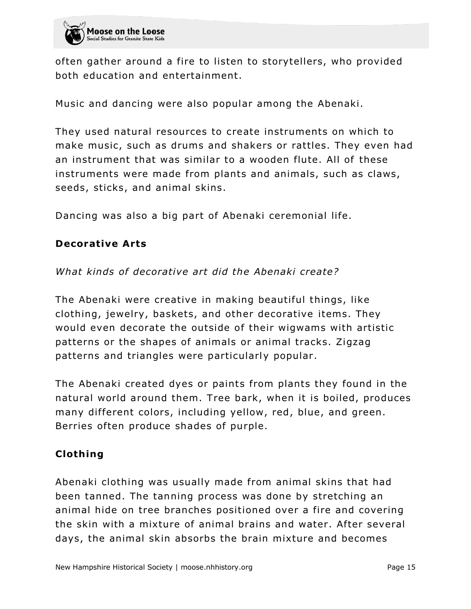

often gather around a fire to listen to storytellers, who provided both education and entertainment.

Music and dancing were also popular among the Abenaki.

They used natural resources to create instruments on which to make music, such as drums and shakers or rattles. They even had an instrument that was similar to a wooden flute. All of these instruments were made from plants and animals, such as claws, seeds, sticks, and animal skins.

Dancing was also a big part of Abenaki ceremonial life.

#### **Decorative Arts**

*What kinds of decorative art did the Abenaki create?*

The Abenaki were creative in making beautiful things, like clothing, jewelry, baskets, and other decorative items. They would even decorate the outside of their wigwams with artistic patterns or the shapes of animals or animal tracks. Zigzag patterns and triangles were particularly popular .

The Abenaki created dyes or paints from plants they found in the natural world around them. Tree bark, when it is boiled, produces many different colors, including yellow, red, blue, and green. Berries often produce shades of purple.

#### **Cloth ing**

Abenaki clothing was usually made from animal skins that had been tanned. The tanning process was done by stretching an animal hide on tree branches positioned over a fire and covering the skin with a mixture of animal brains and water. After several days, the animal skin absorbs the brain mixture and becomes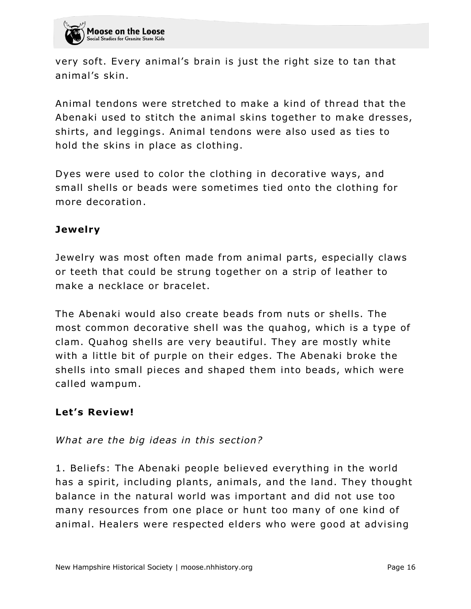

very soft. Every animal's brain is just the right size to tan that animal's skin.

Animal tendons were stretched to make a kind of thread that the Abenaki used to stitch the animal skins together to make dresses, shirts, and leggings. Animal tendons were also used as ties to hold the skins in place as clothing.

Dyes were used to color the clothing in decorative ways, and small shells or beads were sometimes tied onto the clothing for more decoration .

#### **Jewelry**

Jewelry was most often made from animal parts, especially claws or teeth that could be strung together on a strip of leather to make a necklace or bracelet.

The Abenaki would also create beads from nuts or shells. The most common decorative shell was the quahog, which is a type of clam. Quahog shells are very beautiful. They are mostly white with a little bit of purple on their edges. The Abenaki broke the shells into small pieces and shaped them into beads, which were called wampum.

#### Let's Review!

*What are the big ideas in this section?*

1. Beliefs: The Abenaki people believed everything in the world has a spirit, including plants, animals, and the land. They thought balance in the natural world was important and did not use too many resources from one place or hunt too many of one kind of animal. Healers were respected elders who were good at advising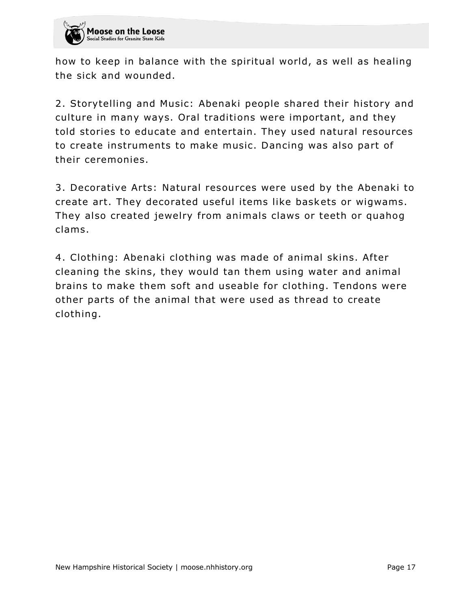

how to keep in balance with the spiritual world, as well as healing the sick and wounded.

2. Storytelling and Music: Abenaki people shared their history and culture in many ways. Oral traditions were important, and they told stories to educate and entertain. They used natural resources to create instruments to make music. Dancing was also part of their ceremonies.

3. Decorative Arts: Natural resources were used by the Abenaki to create art. They decorated useful items like baskets or wigwams. They also created jewelry from animals claws or teeth or quahog clams.

4. Clothing: Abenaki clothing was made of animal skins. After cleaning the skins, they would tan them using water and animal brains to make them soft and useable for clothing. Tendons were other parts of the animal that were used as thread to create clothing.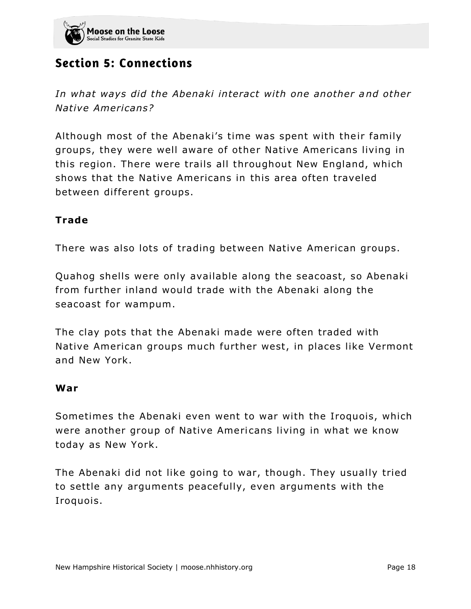

# **Section 5: Connections**

*In what ways did the Abenaki interact with one another and other Native Americans?*

Although most of the Abenaki's time was spent with their family groups, they were well aware of other Native Americans living in this region. There were trails all throughout New England, which shows that the Native Americans in this area often traveled between different groups.

#### **Trade**

There was also lots of trading between Native American groups.

Quahog shells were only available along the seacoast, so Abenaki from further inland would trade with the Abenaki along the seacoast for wampum.

The clay pots that the Abenaki made were often traded with Native American groups much further west, in places like Vermont and New York.

#### **War**

Sometimes the Abenaki even went to war with the Iroquois, which were another group of Native Americans living in what we know today as New York.

The Abenaki did not like going to war, though. They usually tried to settle any arguments peacefully, even arguments with the Iroquois.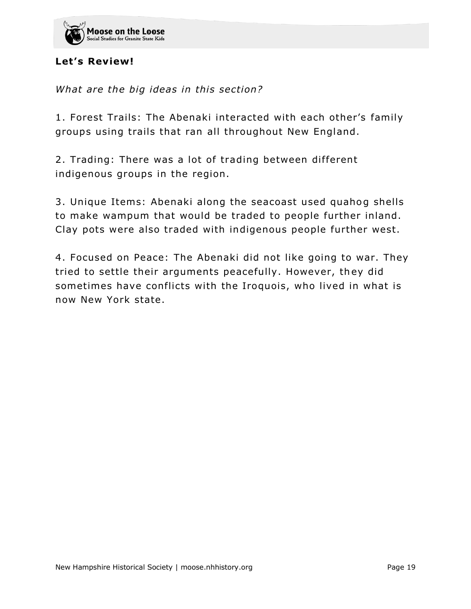

#### Let's Review!

*What are the big ideas in this section?*

1. Forest Trails: The Abenaki interacted with each other's family groups using trails that ran all throughout New England.

2. Trading: There was a lot of trading between different indigenous groups in the region.

3. Unique Items: Abenaki along the seacoast used quahog shells to make wampum that would be traded to people further inland. Clay pots were also traded with indigenous people further west.

4. Focused on Peace: The Abenaki did not like going to war. They tried to settle their arguments peacefully. However, they did sometimes have conflicts with the Iroquois, who lived in what is now New York state.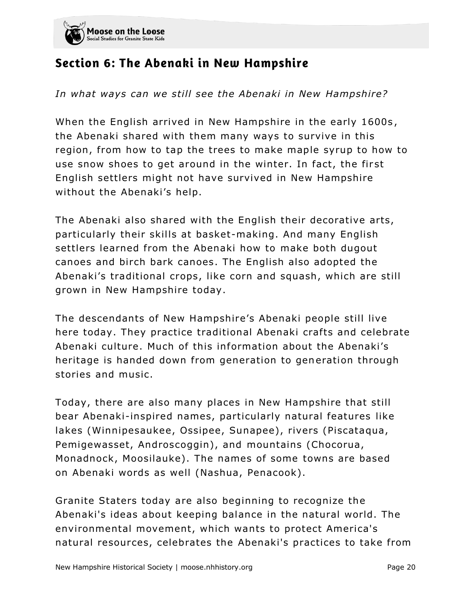

### Section 6: The Abenaki in New Hampshire

*In what ways can we still see the Abenaki in New Hampshire?*

When the English arrived in New Hampshire in the early 1600s, the Abenaki shared with them many ways to survive in this region, from how to tap the trees to make maple syrup to how to use snow shoes to get around in the winter. In fact, the first English settlers might not have survived in New Hampshire without the Abenaki's help.

The Abenaki also shared with the English their decorative arts, particularly their skills at basket-making. And many English settlers learned from the Abenaki how to make both dugout canoes and birch bark canoes . The English also adopted the Abenaki's traditional crops, like corn and squash, which are still grown in New Hampshire today.

The descendants of New Hampshire's Abenaki people still live here today. They practice traditional Abenaki crafts and celebrate Abenaki culture. Much of this information about the Abenaki's heritage is handed down from generation to generation through stories and music.

Today, there are also many places in New Hampshire that still bear Abenaki-inspired names, particularly natural features like lakes (Winnipesaukee, Ossipee, Sunapee), rivers (Piscataqua, Pemigewasset, Androscoggin), and mountains (Chocorua, Monadnock, Moosilauke). The names of some towns are based on Abenaki words as well (Nashua, Penacook).

Granite Staters today are also beginning to recognize the Abenaki's ideas about keeping balance in the natural world. The environmental movement, which wants to protect America's natural resources, celebrates the Abenaki's practices to take from